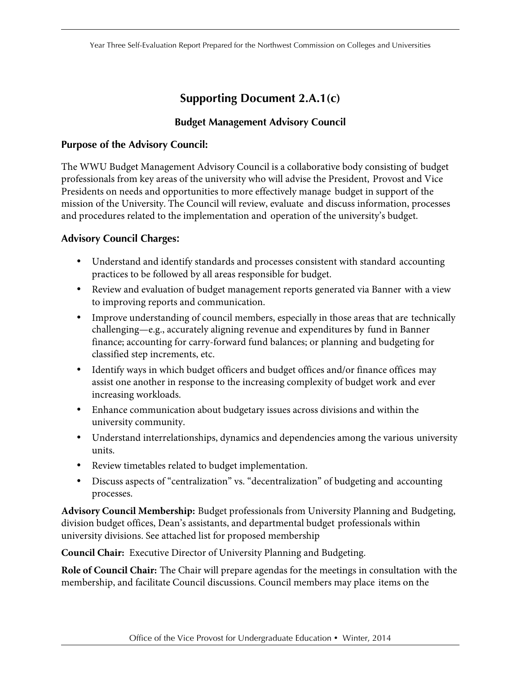## **Supporting Document 2.A.1(c)**

## **Budget Management Advisory Council**

## **Purpose of the Advisory Council:**

The WWU Budget Management Advisory Council is a collaborative body consisting of budget professionals from key areas of the university who will advise the President, Provost and Vice Presidents on needs and opportunities to more effectively manage budget in support of the mission of the University. The Council will review, evaluate and discuss information, processes and procedures related to the implementation and operation of the university's budget.

## **Advisory Council Charges:**

- Understand and identify standards and processes consistent with standard accounting practices to be followed by all areas responsible for budget.
- Review and evaluation of budget management reports generated via Banner with a view to improving reports and communication.
- finance; accounting for carry-forward fund balances; or planning and budgeting for • Improve understanding of council members, especially in those areas that are technically challenging—e.g., accurately aligning revenue and expenditures by fund in Banner classified step increments, etc.
- Identify ways in which budget officers and budget offices and/or finance offices may assist one another in response to the increasing complexity of budget work and ever increasing workloads.
- Enhance communication about budgetary issues across divisions and within the university community.
- Understand interrelationships, dynamics and dependencies among the various university units.
- Review timetables related to budget implementation.
- • Discuss aspects of "centralization" vs. "decentralization" of budgeting and accounting processes.

 **Advisory Council Membership:** Budget professionals from University Planning and Budgeting, division budget offices, Dean's assistants, and departmental budget professionals within university divisions. See attached list for proposed membership

**Council Chair:** Executive Director of University Planning and Budgeting.

 membership, and facilitate Council discussions. Council members may place items on the **Role of Council Chair:** The Chair will prepare agendas for the meetings in consultation with the